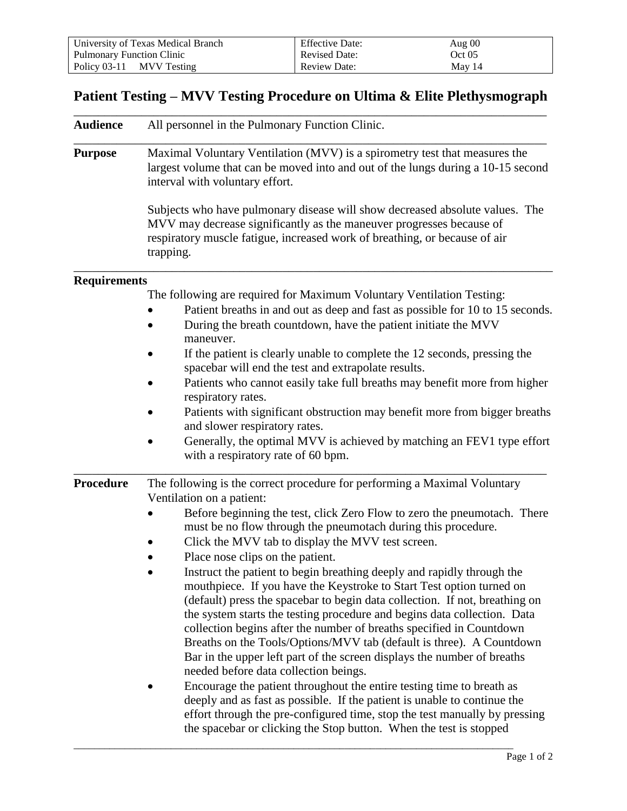| University of Texas Medical Branch | <b>Effective Date:</b> | Aug $00$ |
|------------------------------------|------------------------|----------|
| <b>Pulmonary Function Clinic</b>   | Revised Date:          | Oct 05   |
| Policy 03-11 MVV Testing           | <b>Review Date:</b>    | May 14   |

## **Patient Testing – MVV Testing Procedure on Ultima & Elite Plethysmograph**

| <b>Audience</b>     | All personnel in the Pulmonary Function Clinic.                                                                                                                                                                                                                                                                                                                                                                                                                                                                                                                               |  |  |  |
|---------------------|-------------------------------------------------------------------------------------------------------------------------------------------------------------------------------------------------------------------------------------------------------------------------------------------------------------------------------------------------------------------------------------------------------------------------------------------------------------------------------------------------------------------------------------------------------------------------------|--|--|--|
| <b>Purpose</b>      | Maximal Voluntary Ventilation (MVV) is a spirometry test that measures the<br>largest volume that can be moved into and out of the lungs during a 10-15 second<br>interval with voluntary effort.                                                                                                                                                                                                                                                                                                                                                                             |  |  |  |
|                     | Subjects who have pulmonary disease will show decreased absolute values. The<br>MVV may decrease significantly as the maneuver progresses because of<br>respiratory muscle fatigue, increased work of breathing, or because of air<br>trapping.                                                                                                                                                                                                                                                                                                                               |  |  |  |
| <b>Requirements</b> |                                                                                                                                                                                                                                                                                                                                                                                                                                                                                                                                                                               |  |  |  |
|                     | The following are required for Maximum Voluntary Ventilation Testing:                                                                                                                                                                                                                                                                                                                                                                                                                                                                                                         |  |  |  |
|                     | Patient breaths in and out as deep and fast as possible for 10 to 15 seconds.                                                                                                                                                                                                                                                                                                                                                                                                                                                                                                 |  |  |  |
|                     | During the breath countdown, have the patient initiate the MVV<br>maneuver.                                                                                                                                                                                                                                                                                                                                                                                                                                                                                                   |  |  |  |
|                     | If the patient is clearly unable to complete the 12 seconds, pressing the<br>spacebar will end the test and extrapolate results.                                                                                                                                                                                                                                                                                                                                                                                                                                              |  |  |  |
|                     | Patients who cannot easily take full breaths may benefit more from higher<br>respiratory rates.                                                                                                                                                                                                                                                                                                                                                                                                                                                                               |  |  |  |
|                     | Patients with significant obstruction may benefit more from bigger breaths<br>and slower respiratory rates.                                                                                                                                                                                                                                                                                                                                                                                                                                                                   |  |  |  |
|                     | Generally, the optimal MVV is achieved by matching an FEV1 type effort<br>with a respiratory rate of 60 bpm.                                                                                                                                                                                                                                                                                                                                                                                                                                                                  |  |  |  |
| <b>Procedure</b>    | The following is the correct procedure for performing a Maximal Voluntary<br>Ventilation on a patient:                                                                                                                                                                                                                                                                                                                                                                                                                                                                        |  |  |  |
|                     | Before beginning the test, click Zero Flow to zero the pneumotach. There<br>must be no flow through the pneumotach during this procedure.                                                                                                                                                                                                                                                                                                                                                                                                                                     |  |  |  |
|                     | Click the MVV tab to display the MVV test screen.                                                                                                                                                                                                                                                                                                                                                                                                                                                                                                                             |  |  |  |
|                     | Place nose clips on the patient.                                                                                                                                                                                                                                                                                                                                                                                                                                                                                                                                              |  |  |  |
|                     | Instruct the patient to begin breathing deeply and rapidly through the<br>mouthpiece. If you have the Keystroke to Start Test option turned on<br>(default) press the spacebar to begin data collection. If not, breathing on<br>the system starts the testing procedure and begins data collection. Data<br>collection begins after the number of breaths specified in Countdown<br>Breaths on the Tools/Options/MVV tab (default is three). A Countdown<br>Bar in the upper left part of the screen displays the number of breaths<br>needed before data collection beings. |  |  |  |
|                     | Encourage the patient throughout the entire testing time to breath as<br>deeply and as fast as possible. If the patient is unable to continue the<br>effort through the pre-configured time, stop the test manually by pressing<br>the spacebar or clicking the Stop button. When the test is stopped                                                                                                                                                                                                                                                                         |  |  |  |

\_\_\_\_\_\_\_\_\_\_\_\_\_\_\_\_\_\_\_\_\_\_\_\_\_\_\_\_\_\_\_\_\_\_\_\_\_\_\_\_\_\_\_\_\_\_\_\_\_\_\_\_\_\_\_\_\_\_\_\_\_\_\_\_\_\_\_\_\_\_\_\_\_\_\_\_\_\_\_\_\_\_\_\_\_\_